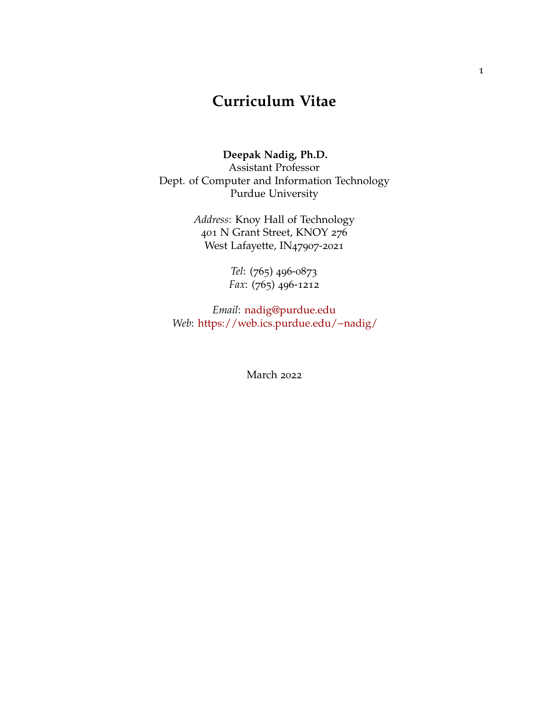# **Curriculum Vitae**

**Deepak Nadig, Ph.D.** Assistant Professor Dept. of Computer and Information Technology Purdue University

> *Address*: Knoy Hall of Technology 401 N Grant Street, KNOY 276 West Lafayette, IN47907-2021

> > *Tel*: (765) 496-0873 *Fax*: (765) 496-1212

*Email*: [nadig@purdue.edu](mailto:nadig@purdue.edu) *Web*: <https://web.ics.purdue.edu/~nadig/>

March 2022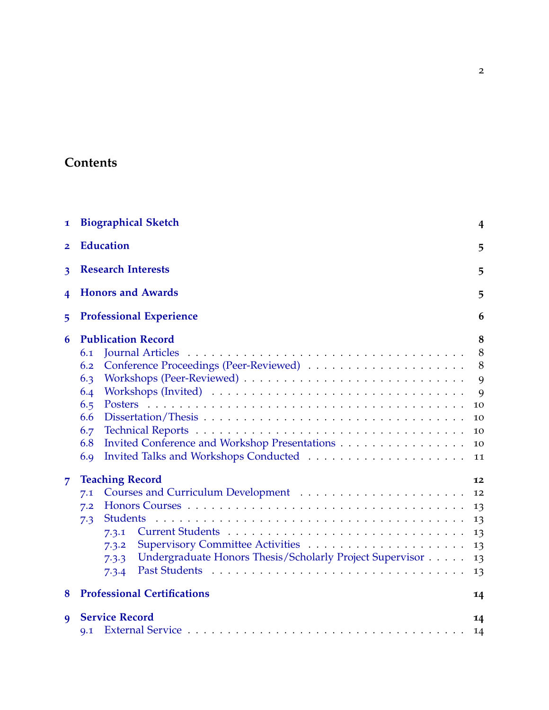# **Contents**

| 1              | <b>Biographical Sketch</b>                                                                                                                                                      | 4                                                   |  |
|----------------|---------------------------------------------------------------------------------------------------------------------------------------------------------------------------------|-----------------------------------------------------|--|
| $\overline{2}$ | <b>Education</b>                                                                                                                                                                | 5                                                   |  |
| 3              | <b>Research Interests</b>                                                                                                                                                       | 5                                                   |  |
| 4              | <b>Honors and Awards</b>                                                                                                                                                        | 5                                                   |  |
| 5              | <b>Professional Experience</b>                                                                                                                                                  |                                                     |  |
| 6              | <b>Publication Record</b><br><b>Journal Articles</b><br>6.1<br>6.2<br>6.3<br>6.4<br>6.5<br>6.6<br>6.7<br>Invited Conference and Workshop Presentations<br>6.8<br>6.9            | 8<br>8<br>8<br>9<br>9<br>10<br>10<br>10<br>10<br>11 |  |
| $\overline{7}$ | <b>Teaching Record</b><br>7.1<br>7.2<br><b>Students</b><br>7.3<br>7.3.1<br>7.3.2<br>Undergraduate Honors Thesis/Scholarly Project Supervisor<br>7.3.3<br>Past Students<br>7.3.4 | 12<br>12<br>13<br>13<br>13<br>13<br>13<br>13        |  |
| 8              | <b>Professional Certifications</b>                                                                                                                                              | 14                                                  |  |
| 9              | <b>Service Record</b><br>9.1                                                                                                                                                    | 14<br>14                                            |  |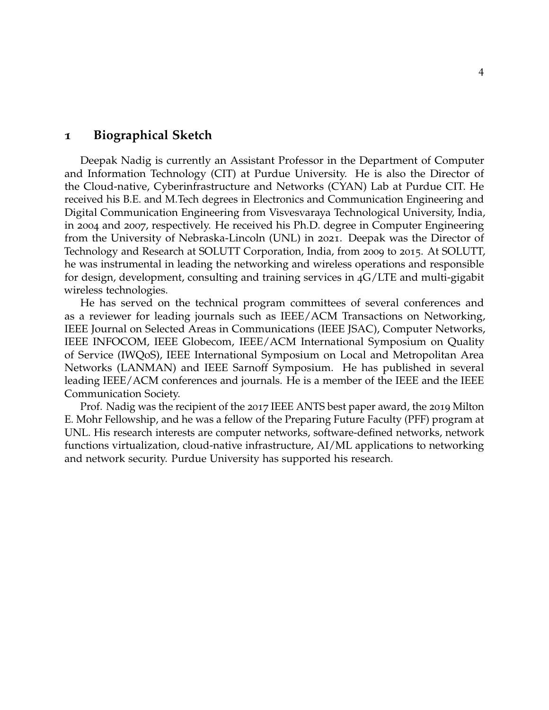#### <span id="page-3-0"></span>**1 Biographical Sketch**

Deepak Nadig is currently an Assistant Professor in the Department of Computer and Information Technology (CIT) at Purdue University. He is also the Director of the Cloud-native, Cyberinfrastructure and Networks (CYAN) Lab at Purdue CIT. He received his B.E. and M.Tech degrees in Electronics and Communication Engineering and Digital Communication Engineering from Visvesvaraya Technological University, India, in 2004 and 2007, respectively. He received his Ph.D. degree in Computer Engineering from the University of Nebraska-Lincoln (UNL) in 2021. Deepak was the Director of Technology and Research at SOLUTT Corporation, India, from 2009 to 2015. At SOLUTT, he was instrumental in leading the networking and wireless operations and responsible for design, development, consulting and training services in 4G/LTE and multi-gigabit wireless technologies.

He has served on the technical program committees of several conferences and as a reviewer for leading journals such as IEEE/ACM Transactions on Networking, IEEE Journal on Selected Areas in Communications (IEEE JSAC), Computer Networks, IEEE INFOCOM, IEEE Globecom, IEEE/ACM International Symposium on Quality of Service (IWQoS), IEEE International Symposium on Local and Metropolitan Area Networks (LANMAN) and IEEE Sarnoff Symposium. He has published in several leading IEEE/ACM conferences and journals. He is a member of the IEEE and the IEEE Communication Society.

Prof. Nadig was the recipient of the 2017 IEEE ANTS best paper award, the 2019 Milton E. Mohr Fellowship, and he was a fellow of the Preparing Future Faculty (PFF) program at UNL. His research interests are computer networks, software-defined networks, network functions virtualization, cloud-native infrastructure, AI/ML applications to networking and network security. Purdue University has supported his research.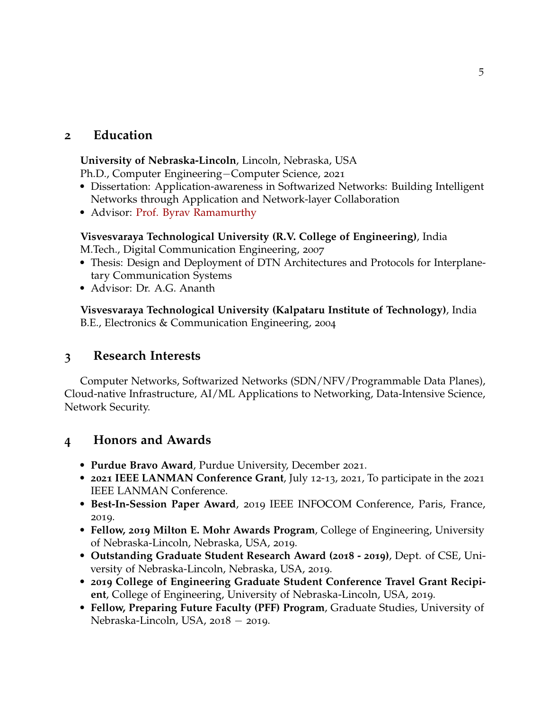### <span id="page-4-0"></span>**2 Education**

**University of Nebraska-Lincoln**, Lincoln, Nebraska, USA Ph.D., Computer Engineering−Computer Science, 2021

- Dissertation: Application-awareness in Softwarized Networks: Building Intelligent Networks through Application and Network-layer Collaboration
- Advisor: [Prof. Byrav Ramamurthy](https://cse.unl.edu/~byrav/)

# **Visvesvaraya Technological University (R.V. College of Engineering)**, India

- M.Tech., Digital Communication Engineering, 2007
- Thesis: Design and Deployment of DTN Architectures and Protocols for Interplanetary Communication Systems
- Advisor: Dr. A.G. Ananth

**Visvesvaraya Technological University (Kalpataru Institute of Technology)**, India B.E., Electronics & Communication Engineering, 2004

# <span id="page-4-1"></span>**3 Research Interests**

Computer Networks, Softwarized Networks (SDN/NFV/Programmable Data Planes), Cloud-native Infrastructure, AI/ML Applications to Networking, Data-Intensive Science, Network Security.

# <span id="page-4-2"></span>**4 Honors and Awards**

- **Purdue Bravo Award**, Purdue University, December 2021.
- **2021 IEEE LANMAN Conference Grant**, July 12-13, 2021, To participate in the 2021 IEEE LANMAN Conference.
- **Best-In-Session Paper Award**, 2019 IEEE INFOCOM Conference, Paris, France, 2019.
- **Fellow, 2019 Milton E. Mohr Awards Program**, College of Engineering, University of Nebraska-Lincoln, Nebraska, USA, 2019.
- **Outstanding Graduate Student Research Award (2018 - 2019)**, Dept. of CSE, University of Nebraska-Lincoln, Nebraska, USA, 2019.
- **2019 College of Engineering Graduate Student Conference Travel Grant Recipient**, College of Engineering, University of Nebraska-Lincoln, USA, 2019.
- **Fellow, Preparing Future Faculty (PFF) Program**, Graduate Studies, University of Nebraska-Lincoln, USA, 2018 − 2019.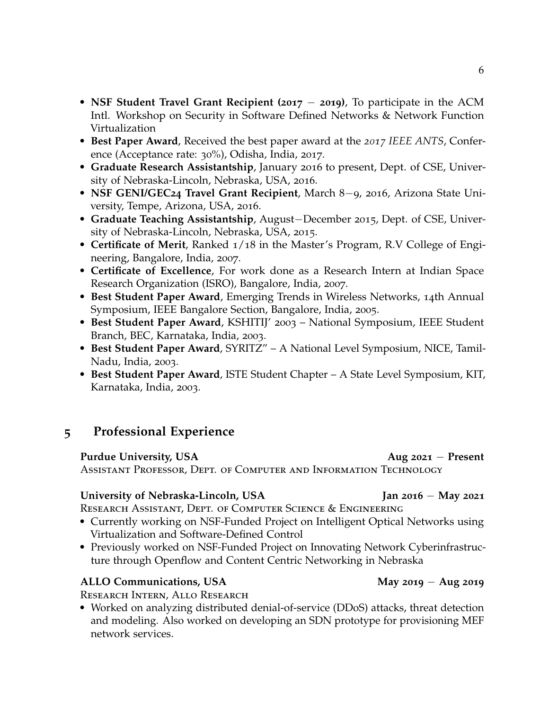- **NSF Student Travel Grant Recipient (2017** − **2019)**, To participate in the ACM Intl. Workshop on Security in Software Defined Networks & Network Function Virtualization
- **Best Paper Award**, Received the best paper award at the *2017 IEEE ANTS*, Conference (Acceptance rate: 30%), Odisha, India, 2017.
- **Graduate Research Assistantship**, January 2016 to present, Dept. of CSE, University of Nebraska-Lincoln, Nebraska, USA, 2016.
- **NSF GENI/GEC24 Travel Grant Recipient**, March 8−9, 2016, Arizona State University, Tempe, Arizona, USA, 2016.
- **Graduate Teaching Assistantship**, August−December 2015, Dept. of CSE, University of Nebraska-Lincoln, Nebraska, USA, 2015.
- **Certificate of Merit**, Ranked 1/18 in the Master's Program, R.V College of Engineering, Bangalore, India, 2007.
- **Certificate of Excellence**, For work done as a Research Intern at Indian Space Research Organization (ISRO), Bangalore, India, 2007.
- **Best Student Paper Award**, Emerging Trends in Wireless Networks, 14th Annual Symposium, IEEE Bangalore Section, Bangalore, India, 2005.
- **Best Student Paper Award**, KSHITIJ' 2003 National Symposium, IEEE Student Branch, BEC, Karnataka, India, 2003.
- **Best Student Paper Award**, SYRITZ" A National Level Symposium, NICE, Tamil-Nadu, India, 2003.
- **Best Student Paper Award**, ISTE Student Chapter A State Level Symposium, KIT, Karnataka, India, 2003.

# <span id="page-5-0"></span>**5 Professional Experience**

### **Purdue University, USA** Aug 2021 − Present

Assistant Professor, Dept. of Computer and Information Technology

### **University of Nebraska-Lincoln, USA Jan 2016** − **May 2021**

Research Assistant, Dept. of Computer Science & Engineering

- Currently working on NSF-Funded Project on Intelligent Optical Networks using Virtualization and Software-Defined Control
- Previously worked on NSF-Funded Project on Innovating Network Cyberinfrastructure through Openflow and Content Centric Networking in Nebraska

# **ALLO Communications, USA** May 2019 − Aug 2019

Research Intern, Allo Research

• Worked on analyzing distributed denial-of-service (DDoS) attacks, threat detection and modeling. Also worked on developing an SDN prototype for provisioning MEF network services.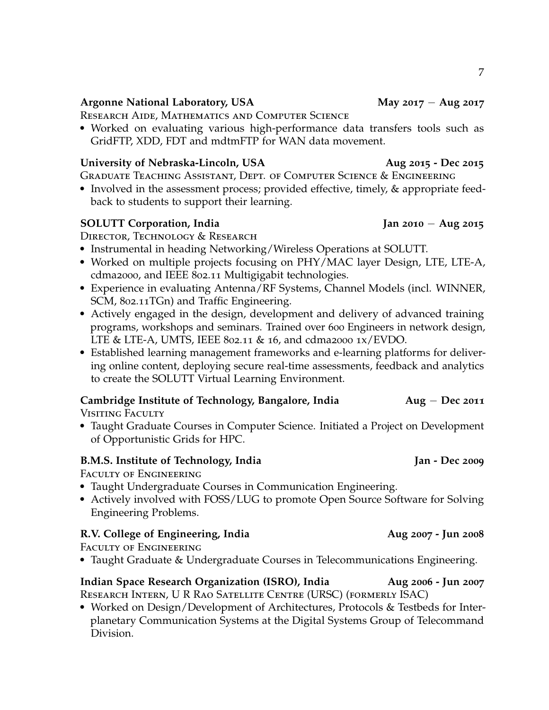#### **Argonne National Laboratory, USA May 2017** − **Aug 2017**

Research Aide, Mathematics and Computer Science

• Worked on evaluating various high-performance data transfers tools such as GridFTP, XDD, FDT and mdtmFTP for WAN data movement.

#### **University of Nebraska-Lincoln, USA Aug 2015 - Dec 2015**

Graduate Teaching Assistant, Dept. of Computer Science & Engineering

• Involved in the assessment process; provided effective, timely, & appropriate feedback to students to support their learning.

#### **SOLUTT Corporation, India Jan 2010** − **Aug 2015**

DIRECTOR, TECHNOLOGY & RESEARCH

- Instrumental in heading Networking/Wireless Operations at SOLUTT.
- Worked on multiple projects focusing on PHY/MAC layer Design, LTE, LTE-A, cdma2000, and IEEE 802.11 Multigigabit technologies.
- Experience in evaluating Antenna/RF Systems, Channel Models (incl. WINNER, SCM, 802.11TGn) and Traffic Engineering.
- Actively engaged in the design, development and delivery of advanced training programs, workshops and seminars. Trained over 600 Engineers in network design, LTE & LTE-A, UMTS, IEEE 802.11 & 16, and cdma2000 1x/EVDO.
- Established learning management frameworks and e-learning platforms for delivering online content, deploying secure real-time assessments, feedback and analytics to create the SOLUTT Virtual Learning Environment.

#### **Cambridge Institute of Technology, Bangalore, India Aug** − **Dec 2011** Visiting Faculty

• Taught Graduate Courses in Computer Science. Initiated a Project on Development of Opportunistic Grids for HPC.

### **B.M.S. Institute of Technology, India Jan - Dec 2009**

Faculty of Engineering

- Taught Undergraduate Courses in Communication Engineering.
- Actively involved with FOSS/LUG to promote Open Source Software for Solving Engineering Problems.

### **R.V. College of Engineering, India Aug 2007 - Jun 2008**

Faculty of Engineering

• Taught Graduate & Undergraduate Courses in Telecommunications Engineering.

# **Indian Space Research Organization (ISRO), India Aug 2006 - Jun 2007**

Research Intern, U R Rao Satellite Centre (URSC) (formerly ISAC)

• Worked on Design/Development of Architectures, Protocols & Testbeds for Interplanetary Communication Systems at the Digital Systems Group of Telecommand Division.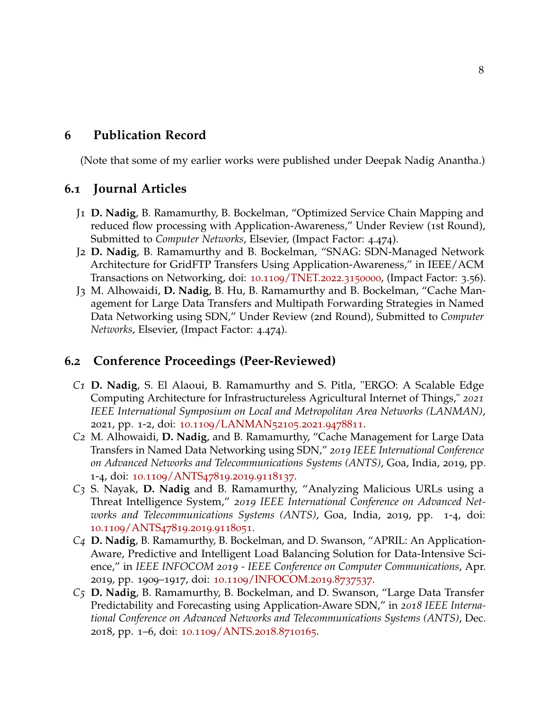### <span id="page-7-0"></span>**6 Publication Record**

(Note that some of my earlier works were published under Deepak Nadig Anantha.)

#### <span id="page-7-1"></span>**6.1 Journal Articles**

- J1 **D. Nadig**, B. Ramamurthy, B. Bockelman, "Optimized Service Chain Mapping and reduced flow processing with Application-Awareness," Under Review (1st Round), Submitted to *Computer Networks*, Elsevier, (Impact Factor: 4.474).
- J2 **D. Nadig**, B. Ramamurthy and B. Bockelman, "SNAG: SDN-Managed Network Architecture for GridFTP Transfers Using Application-Awareness," in IEEE/ACM Transactions on Networking, doi: 10.1109[/TNET.](https://doi.org/10.1109/TNET.2022.3150000)2022.3150000, (Impact Factor: 3.56).
- J3 M. Alhowaidi, **D. Nadig**, B. Hu, B. Ramamurthy and B. Bockelman, "Cache Management for Large Data Transfers and Multipath Forwarding Strategies in Named Data Networking using SDN," Under Review (2nd Round), Submitted to *Computer Networks*, Elsevier, (Impact Factor: 4.474).

### <span id="page-7-2"></span>**6.2 Conference Proceedings (Peer-Reviewed)**

- *C1* **D. Nadig**, S. El Alaoui, B. Ramamurthy and S. Pitla, "ERGO: A Scalable Edge Computing Architecture for Infrastructureless Agricultural Internet of Things," *2021 IEEE International Symposium on Local and Metropolitan Area Networks (LANMAN)*, 2021, pp. 1-2, doi: 10.1109[/LANMAN](https://doi.org/10.1109/LANMAN52105.2021.9478811)52105.2021.9478811.
- *C2* M. Alhowaidi, **D. Nadig**, and B. Ramamurthy, "Cache Management for Large Data Transfers in Named Data Networking using SDN," *2019 IEEE International Conference on Advanced Networks and Telecommunications Systems (ANTS)*, Goa, India, 2019, pp. 1-4, doi: 10.1109[/ANTS](https://doi.org/10.1109/ANTS47819.2019.9118137)47819.2019.9118137.
- *C3* S. Nayak, **D. Nadig** and B. Ramamurthy, "Analyzing Malicious URLs using a Threat Intelligence System," *2019 IEEE International Conference on Advanced Networks and Telecommunications Systems (ANTS)*, Goa, India, 2019, pp. 1-4, doi: 10.1109[/ANTS](https://doi.org/10.1109/ANTS47819.2019.9118051)47819.2019.9118051.
- *C4* **D. Nadig**, B. Ramamurthy, B. Bockelman, and D. Swanson, "APRIL: An Application-Aware, Predictive and Intelligent Load Balancing Solution for Data-Intensive Science," in *IEEE INFOCOM 2019 - IEEE Conference on Computer Communications*, Apr. 2019, pp. 1909–1917, doi: 10.1109[/INFOCOM.](https://doi.org/10.1109/INFOCOM.2019.8737537)2019.8737537.
- *C5* **D. Nadig**, B. Ramamurthy, B. Bockelman, and D. Swanson, "Large Data Transfer Predictability and Forecasting using Application-Aware SDN," in *2018 IEEE International Conference on Advanced Networks and Telecommunications Systems (ANTS)*, Dec. 2018, pp. 1–6, doi: 10.1109[/ANTS.](https://doi.org/10.1109/ANTS.2018.8710165)2018.8710165.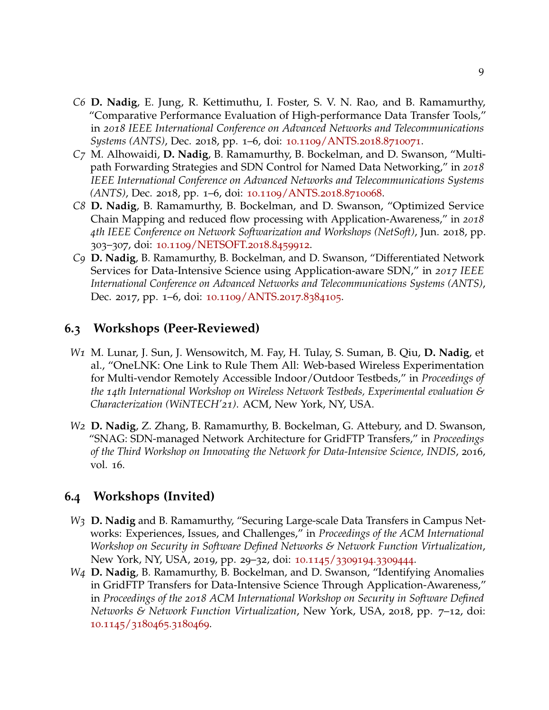- *C6* **D. Nadig**, E. Jung, R. Kettimuthu, I. Foster, S. V. N. Rao, and B. Ramamurthy, "Comparative Performance Evaluation of High-performance Data Transfer Tools," in *2018 IEEE International Conference on Advanced Networks and Telecommunications Systems (ANTS)*, Dec. 2018, pp. 1–6, doi: 10.1109[/ANTS.](https://doi.org/10.1109/ANTS.2018.8710071)2018.8710071.
- *C7* M. Alhowaidi, **D. Nadig**, B. Ramamurthy, B. Bockelman, and D. Swanson, "Multipath Forwarding Strategies and SDN Control for Named Data Networking," in *2018 IEEE International Conference on Advanced Networks and Telecommunications Systems (ANTS)*, Dec. 2018, pp. 1–6, doi: 10.1109[/ANTS.](https://doi.org/10.1109/ANTS.2018.8710068)2018.8710068.
- *C8* **D. Nadig**, B. Ramamurthy, B. Bockelman, and D. Swanson, "Optimized Service Chain Mapping and reduced flow processing with Application-Awareness," in *2018 4th IEEE Conference on Network Softwarization and Workshops (NetSoft)*, Jun. 2018, pp. 303–307, doi: 10.1109[/NETSOFT.](https://doi.org/10.1109/NETSOFT.2018.8459912)2018.8459912.
- *C9* **D. Nadig**, B. Ramamurthy, B. Bockelman, and D. Swanson, "Differentiated Network Services for Data-Intensive Science using Application-aware SDN," in *2017 IEEE International Conference on Advanced Networks and Telecommunications Systems (ANTS)*, Dec. 2017, pp. 1–6, doi: 10.1109[/ANTS.](https://doi.org/10.1109/ANTS.2017.8384105)2017.8384105.

#### <span id="page-8-0"></span>**6.3 Workshops (Peer-Reviewed)**

- *W1* M. Lunar, J. Sun, J. Wensowitch, M. Fay, H. Tulay, S. Suman, B. Qiu, **D. Nadig**, et al., "OneLNK: One Link to Rule Them All: Web-based Wireless Experimentation for Multi-vendor Remotely Accessible Indoor/Outdoor Testbeds," in *Proceedings of the 14th International Workshop on Wireless Network Testbeds, Experimental evaluation & Characterization (WiNTECH'21)*. ACM, New York, NY, USA.
- *W2* **D. Nadig**, Z. Zhang, B. Ramamurthy, B. Bockelman, G. Attebury, and D. Swanson, "SNAG: SDN-managed Network Architecture for GridFTP Transfers," in *Proceedings of the Third Workshop on Innovating the Network for Data-Intensive Science, INDIS*, 2016, vol. 16.

#### <span id="page-8-1"></span>**6.4 Workshops (Invited)**

- *W3* **D. Nadig** and B. Ramamurthy, "Securing Large-scale Data Transfers in Campus Networks: Experiences, Issues, and Challenges," in *Proceedings of the ACM International Workshop on Security in Software Defined Networks & Network Function Virtualization*, New York, NY, USA, 2019, pp. 29–32, doi: 10.1145/[3309194](https://doi.org/10.1145/3309194.3309444).3309444.
- *W4* **D. Nadig**, B. Ramamurthy, B. Bockelman, and D. Swanson, "Identifying Anomalies in GridFTP Transfers for Data-Intensive Science Through Application-Awareness," in *Proceedings of the 2018 ACM International Workshop on Security in Software Defined Networks & Network Function Virtualization*, New York, USA, 2018, pp. 7–12, doi: 10.1145/[3180465](https://doi.org/10.1145/3180465.3180469).3180469.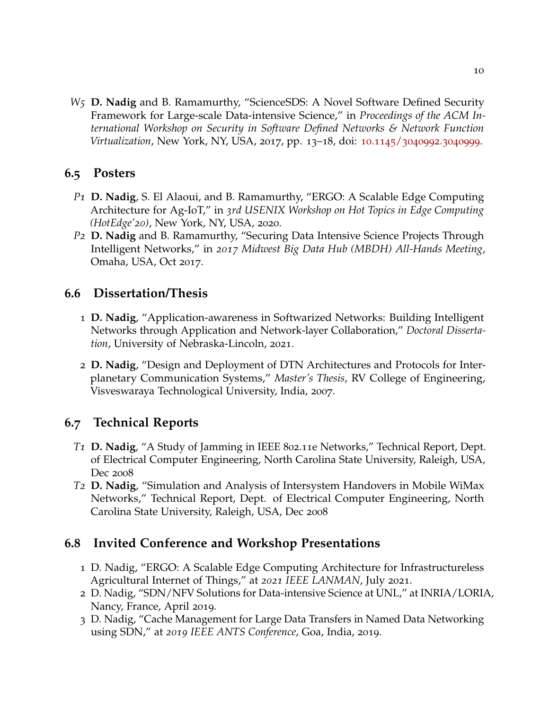*W5* **D. Nadig** and B. Ramamurthy, "ScienceSDS: A Novel Software Defined Security Framework for Large-scale Data-intensive Science," in *Proceedings of the ACM International Workshop on Security in Software Defined Networks & Network Function Virtualization*, New York, NY, USA, 2017, pp. 13–18, doi: 10.1145/3040992.[3040999](https://doi.org/10.1145/3040992.3040999).

# <span id="page-9-0"></span>**6.5 Posters**

- *P1* **D. Nadig**, S. El Alaoui, and B. Ramamurthy, "ERGO: A Scalable Edge Computing Architecture for Ag-IoT," in *3rd USENIX Workshop on Hot Topics in Edge Computing (HotEdge'20)*, New York, NY, USA, 2020.
- *P2* **D. Nadig** and B. Ramamurthy, "Securing Data Intensive Science Projects Through Intelligent Networks," in *2017 Midwest Big Data Hub (MBDH) All-Hands Meeting*, Omaha, USA, Oct 2017.

# <span id="page-9-1"></span>**6.6 Dissertation/Thesis**

- 1 **D. Nadig**, "Application-awareness in Softwarized Networks: Building Intelligent Networks through Application and Network-layer Collaboration," *Doctoral Dissertation*, University of Nebraska-Lincoln, 2021.
- 2 **D. Nadig**, "Design and Deployment of DTN Architectures and Protocols for Interplanetary Communication Systems," *Master's Thesis*, RV College of Engineering, Visveswaraya Technological University, India, 2007.

# <span id="page-9-2"></span>**6.7 Technical Reports**

- *T1* **D. Nadig**, "A Study of Jamming in IEEE 802.11e Networks," Technical Report, Dept. of Electrical Computer Engineering, North Carolina State University, Raleigh, USA, Dec 2008
- *T2* **D. Nadig**, "Simulation and Analysis of Intersystem Handovers in Mobile WiMax Networks," Technical Report, Dept. of Electrical Computer Engineering, North Carolina State University, Raleigh, USA, Dec 2008

# <span id="page-9-3"></span>**6.8 Invited Conference and Workshop Presentations**

- 1 D. Nadig, "ERGO: A Scalable Edge Computing Architecture for Infrastructureless Agricultural Internet of Things," at *2021 IEEE LANMAN*, July 2021.
- 2 D. Nadig, "SDN/NFV Solutions for Data-intensive Science at UNL," at INRIA/LORIA, Nancy, France, April 2019.
- 3 D. Nadig, "Cache Management for Large Data Transfers in Named Data Networking using SDN," at *2019 IEEE ANTS Conference*, Goa, India, 2019.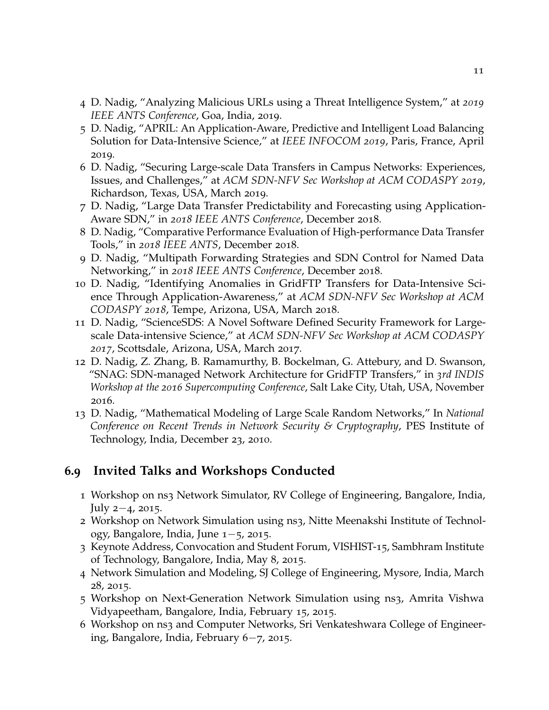- 4 D. Nadig, "Analyzing Malicious URLs using a Threat Intelligence System," at *2019 IEEE ANTS Conference*, Goa, India, 2019.
- 5 D. Nadig, "APRIL: An Application-Aware, Predictive and Intelligent Load Balancing Solution for Data-Intensive Science," at *IEEE INFOCOM 2019*, Paris, France, April 2019.
- 6 D. Nadig, "Securing Large-scale Data Transfers in Campus Networks: Experiences, Issues, and Challenges," at *ACM SDN-NFV Sec Workshop at ACM CODASPY 2019*, Richardson, Texas, USA, March 2019.
- 7 D. Nadig, "Large Data Transfer Predictability and Forecasting using Application-Aware SDN," in *2018 IEEE ANTS Conference*, December 2018.
- 8 D. Nadig, "Comparative Performance Evaluation of High-performance Data Transfer Tools," in *2018 IEEE ANTS*, December 2018.
- 9 D. Nadig, "Multipath Forwarding Strategies and SDN Control for Named Data Networking," in *2018 IEEE ANTS Conference*, December 2018.
- 10 D. Nadig, "Identifying Anomalies in GridFTP Transfers for Data-Intensive Science Through Application-Awareness," at *ACM SDN-NFV Sec Workshop at ACM CODASPY 2018*, Tempe, Arizona, USA, March 2018.
- 11 D. Nadig, "ScienceSDS: A Novel Software Defined Security Framework for Largescale Data-intensive Science," at *ACM SDN-NFV Sec Workshop at ACM CODASPY 2017*, Scottsdale, Arizona, USA, March 2017.
- 12 D. Nadig, Z. Zhang, B. Ramamurthy, B. Bockelman, G. Attebury, and D. Swanson, "SNAG: SDN-managed Network Architecture for GridFTP Transfers," in *3rd INDIS Workshop at the 2016 Supercomputing Conference*, Salt Lake City, Utah, USA, November 2016.
- 13 D. Nadig, "Mathematical Modeling of Large Scale Random Networks," In *National Conference on Recent Trends in Network Security & Cryptography*, PES Institute of Technology, India, December 23, 2010.

# <span id="page-10-0"></span>**6.9 Invited Talks and Workshops Conducted**

- 1 Workshop on ns3 Network Simulator, RV College of Engineering, Bangalore, India, July 2−4, 2015.
- 2 Workshop on Network Simulation using ns3, Nitte Meenakshi Institute of Technology, Bangalore, India, June 1−5, 2015.
- 3 Keynote Address, Convocation and Student Forum, VISHIST-15, Sambhram Institute of Technology, Bangalore, India, May 8, 2015.
- 4 Network Simulation and Modeling, SJ College of Engineering, Mysore, India, March 28, 2015.
- 5 Workshop on Next-Generation Network Simulation using ns3, Amrita Vishwa Vidyapeetham, Bangalore, India, February 15, 2015.
- 6 Workshop on ns3 and Computer Networks, Sri Venkateshwara College of Engineering, Bangalore, India, February 6−7, 2015.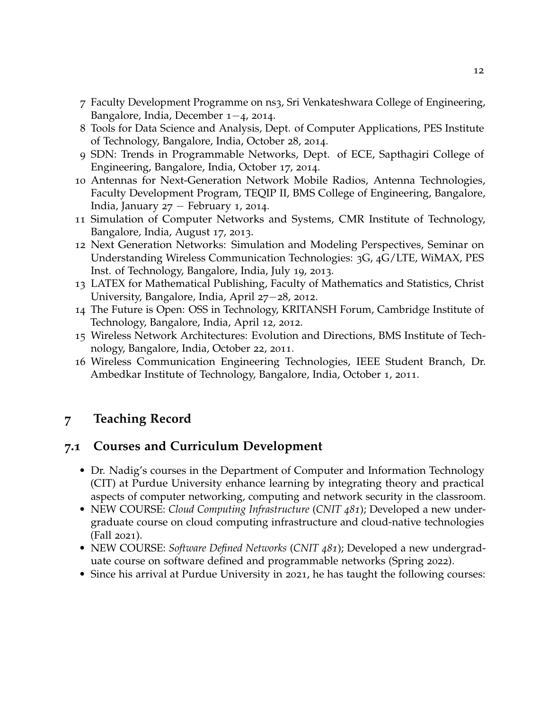- 7 Faculty Development Programme on ns3, Sri Venkateshwara College of Engineering, Bangalore, India, December 1−4, 2014.
- 8 Tools for Data Science and Analysis, Dept. of Computer Applications, PES Institute of Technology, Bangalore, India, October 28, 2014.
- 9 SDN: Trends in Programmable Networks, Dept. of ECE, Sapthagiri College of Engineering, Bangalore, India, October 17, 2014.
- 10 Antennas for Next-Generation Network Mobile Radios, Antenna Technologies, Faculty Development Program, TEQIP II, BMS College of Engineering, Bangalore, India, January  $27$  – February 1, 2014.
- 11 Simulation of Computer Networks and Systems, CMR Institute of Technology, Bangalore, India, August 17, 2013.
- 12 Next Generation Networks: Simulation and Modeling Perspectives, Seminar on Understanding Wireless Communication Technologies: 3G, 4G/LTE, WiMAX, PES Inst. of Technology, Bangalore, India, July 19, 2013.
- 13 LATEX for Mathematical Publishing, Faculty of Mathematics and Statistics, Christ University, Bangalore, India, April 27−28, 2012.
- 14 The Future is Open: OSS in Technology, KRITANSH Forum, Cambridge Institute of Technology, Bangalore, India, April 12, 2012.
- 15 Wireless Network Architectures: Evolution and Directions, BMS Institute of Technology, Bangalore, India, October 22, 2011.
- 16 Wireless Communication Engineering Technologies, IEEE Student Branch, Dr. Ambedkar Institute of Technology, Bangalore, India, October 1, 2011.

# <span id="page-11-0"></span>**7 Teaching Record**

# <span id="page-11-1"></span>**7.1 Courses and Curriculum Development**

- Dr. Nadig's courses in the Department of Computer and Information Technology (CIT) at Purdue University enhance learning by integrating theory and practical aspects of computer networking, computing and network security in the classroom.
- NEW COURSE: *Cloud Computing Infrastructure* (*CNIT 481*); Developed a new undergraduate course on cloud computing infrastructure and cloud-native technologies (Fall 2021).
- NEW COURSE: *Software Defined Networks* (*CNIT 481*); Developed a new undergraduate course on software defined and programmable networks (Spring 2022).
- Since his arrival at Purdue University in 2021, he has taught the following courses: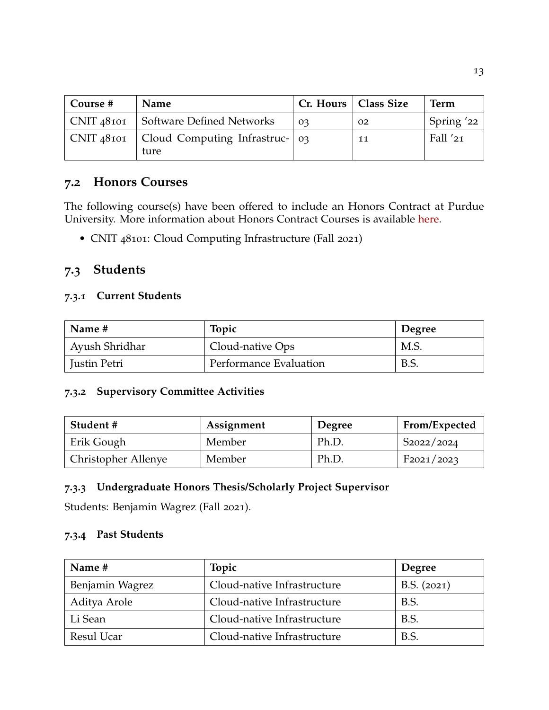| Course # | Name                                                    | Cr. Hours   Class Size |                | Term       |
|----------|---------------------------------------------------------|------------------------|----------------|------------|
|          | $CNIT_48101$ Software Defined Networks                  | 03                     | O <sub>2</sub> | Spring '22 |
|          | $CNIT_48101$   Cloud Computing Infrastruc-   03<br>ture |                        | 11             | Fall $21$  |

# <span id="page-12-0"></span>**7.2 Honors Courses**

The following course(s) have been offered to include an Honors Contract at Purdue University. More information about Honors Contract Courses is available [here.](https://honors.purdue.edu/current-students/honors-courses/index.php)

• CNIT 48101: Cloud Computing Infrastructure (Fall 2021)

# <span id="page-12-1"></span>**7.3 Students**

#### <span id="page-12-2"></span>**7.3.1 Current Students**

| Name #              | Topic                  | <b>Degree</b> |
|---------------------|------------------------|---------------|
| Ayush Shridhar      | Cloud-native Ops       | M.S.          |
| <b>Iustin Petri</b> | Performance Evaluation | <b>B.S.</b>   |

#### <span id="page-12-3"></span>**7.3.2 Supervisory Committee Activities**

| Student #           | Assignment | <b>Degree</b> | From/Expected |
|---------------------|------------|---------------|---------------|
| Erik Gough          | Member     | Ph.D.         | S2022/2024    |
| Christopher Allenye | Member     | Ph.D.         | F2021/2023    |

### <span id="page-12-4"></span>**7.3.3 Undergraduate Honors Thesis/Scholarly Project Supervisor**

Students: Benjamin Wagrez (Fall 2021).

# <span id="page-12-5"></span>**7.3.4 Past Students**

| Name #          | <b>Topic</b>                | <b>Degree</b> |
|-----------------|-----------------------------|---------------|
| Benjamin Wagrez | Cloud-native Infrastructure | B.S. (2021)   |
| Aditya Arole    | Cloud-native Infrastructure | B.S.          |
| Li Sean         | Cloud-native Infrastructure | B.S.          |
| Resul Ucar      | Cloud-native Infrastructure | B.S.          |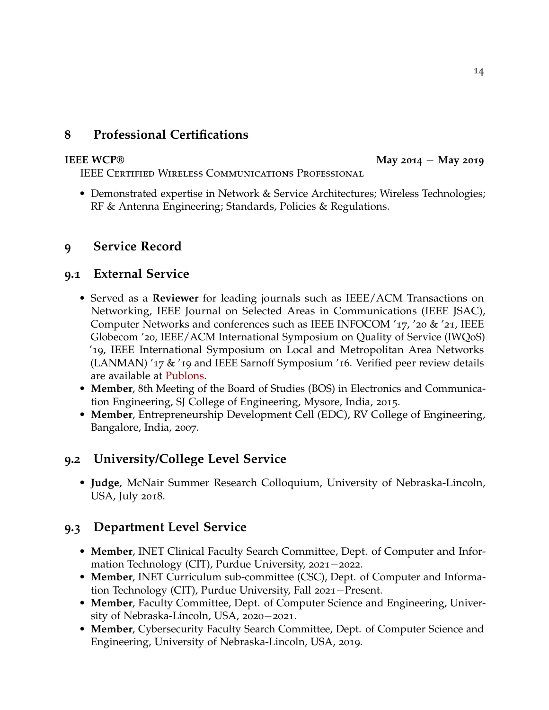# <span id="page-13-0"></span>**8 Professional Certifications**

**IEEE WCP® May 2014** − **May 2019**

IEEE Certified Wireless Communications Professional

• Demonstrated expertise in Network & Service Architectures; Wireless Technologies; RF & Antenna Engineering; Standards, Policies & Regulations.

# <span id="page-13-1"></span>**9 Service Record**

### <span id="page-13-2"></span>**9.1 External Service**

- Served as a **Reviewer** for leading journals such as IEEE/ACM Transactions on Networking, IEEE Journal on Selected Areas in Communications (IEEE JSAC), Computer Networks and conferences such as IEEE INFOCOM '17, '20 & '21, IEEE Globecom '20, IEEE/ACM International Symposium on Quality of Service (IWQoS) '19, IEEE International Symposium on Local and Metropolitan Area Networks (LANMAN) '17 & '19 and IEEE Sarnoff Symposium '16. Verified peer review details are available at [Publons.](https://publons.com/researcher/3160381/deepak-nadig/peer-review/)
- **Member**, 8th Meeting of the Board of Studies (BOS) in Electronics and Communication Engineering, SJ College of Engineering, Mysore, India, 2015.
- **Member**, Entrepreneurship Development Cell (EDC), RV College of Engineering, Bangalore, India, 2007.

# <span id="page-13-3"></span>**9.2 University/College Level Service**

• **Judge**, McNair Summer Research Colloquium, University of Nebraska-Lincoln, USA, July 2018.

# <span id="page-13-4"></span>**9.3 Department Level Service**

- **Member**, INET Clinical Faculty Search Committee, Dept. of Computer and Information Technology (CIT), Purdue University, 2021−2022.
- **Member**, INET Curriculum sub-committee (CSC), Dept. of Computer and Information Technology (CIT), Purdue University, Fall 2021−Present.
- **Member**, Faculty Committee, Dept. of Computer Science and Engineering, University of Nebraska-Lincoln, USA, 2020−2021.
- **Member**, Cybersecurity Faculty Search Committee, Dept. of Computer Science and Engineering, University of Nebraska-Lincoln, USA, 2019.